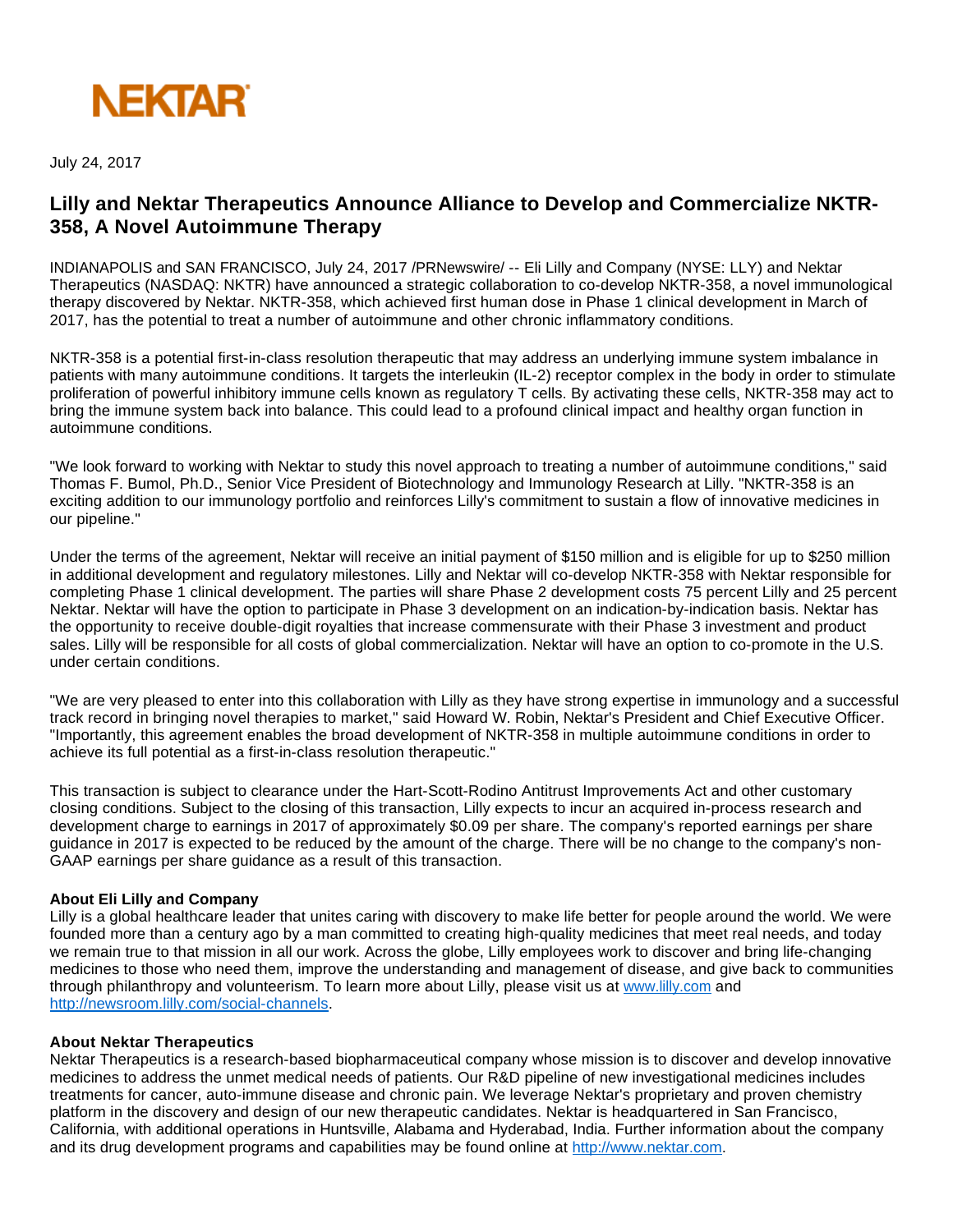

July 24, 2017

# **Lilly and Nektar Therapeutics Announce Alliance to Develop and Commercialize NKTR-358, A Novel Autoimmune Therapy**

INDIANAPOLIS and SAN FRANCISCO, July 24, 2017 /PRNewswire/ -- Eli Lilly and Company (NYSE: LLY) and Nektar Therapeutics (NASDAQ: NKTR) have announced a strategic collaboration to co-develop NKTR-358, a novel immunological therapy discovered by Nektar. NKTR-358, which achieved first human dose in Phase 1 clinical development in March of 2017, has the potential to treat a number of autoimmune and other chronic inflammatory conditions.

NKTR-358 is a potential first-in-class resolution therapeutic that may address an underlying immune system imbalance in patients with many autoimmune conditions. It targets the interleukin (IL-2) receptor complex in the body in order to stimulate proliferation of powerful inhibitory immune cells known as regulatory T cells. By activating these cells, NKTR-358 may act to bring the immune system back into balance. This could lead to a profound clinical impact and healthy organ function in autoimmune conditions.

"We look forward to working with Nektar to study this novel approach to treating a number of autoimmune conditions," said Thomas F. Bumol, Ph.D., Senior Vice President of Biotechnology and Immunology Research at Lilly. "NKTR-358 is an exciting addition to our immunology portfolio and reinforces Lilly's commitment to sustain a flow of innovative medicines in our pipeline."

Under the terms of the agreement, Nektar will receive an initial payment of \$150 million and is eligible for up to \$250 million in additional development and regulatory milestones. Lilly and Nektar will co-develop NKTR-358 with Nektar responsible for completing Phase 1 clinical development. The parties will share Phase 2 development costs 75 percent Lilly and 25 percent Nektar. Nektar will have the option to participate in Phase 3 development on an indication-by-indication basis. Nektar has the opportunity to receive double-digit royalties that increase commensurate with their Phase 3 investment and product sales. Lilly will be responsible for all costs of global commercialization. Nektar will have an option to co-promote in the U.S. under certain conditions.

"We are very pleased to enter into this collaboration with Lilly as they have strong expertise in immunology and a successful track record in bringing novel therapies to market," said Howard W. Robin, Nektar's President and Chief Executive Officer. "Importantly, this agreement enables the broad development of NKTR-358 in multiple autoimmune conditions in order to achieve its full potential as a first-in-class resolution therapeutic."

This transaction is subject to clearance under the Hart-Scott-Rodino Antitrust Improvements Act and other customary closing conditions. Subject to the closing of this transaction, Lilly expects to incur an acquired in-process research and development charge to earnings in 2017 of approximately \$0.09 per share. The company's reported earnings per share guidance in 2017 is expected to be reduced by the amount of the charge. There will be no change to the company's non-GAAP earnings per share guidance as a result of this transaction.

## **About Eli Lilly and Company**

Lilly is a global healthcare leader that unites caring with discovery to make life better for people around the world. We were founded more than a century ago by a man committed to creating high-quality medicines that meet real needs, and today we remain true to that mission in all our work. Across the globe, Lilly employees work to discover and bring life-changing medicines to those who need them, improve the understanding and management of disease, and give back to communities through philanthropy and volunteerism. To learn more about Lilly, please visit us at [www.lilly.com](http://www.lilly.com/) and <http://newsroom.lilly.com/social-channels>.

#### **About Nektar Therapeutics**

Nektar Therapeutics is a research-based biopharmaceutical company whose mission is to discover and develop innovative medicines to address the unmet medical needs of patients. Our R&D pipeline of new investigational medicines includes treatments for cancer, auto-immune disease and chronic pain. We leverage Nektar's proprietary and proven chemistry platform in the discovery and design of our new therapeutic candidates. Nektar is headquartered in San Francisco, California, with additional operations in Huntsville, Alabama and Hyderabad, India. Further information about the company and its drug development programs and capabilities may be found online at [http://www.nektar.com](http://www.nektar.com/).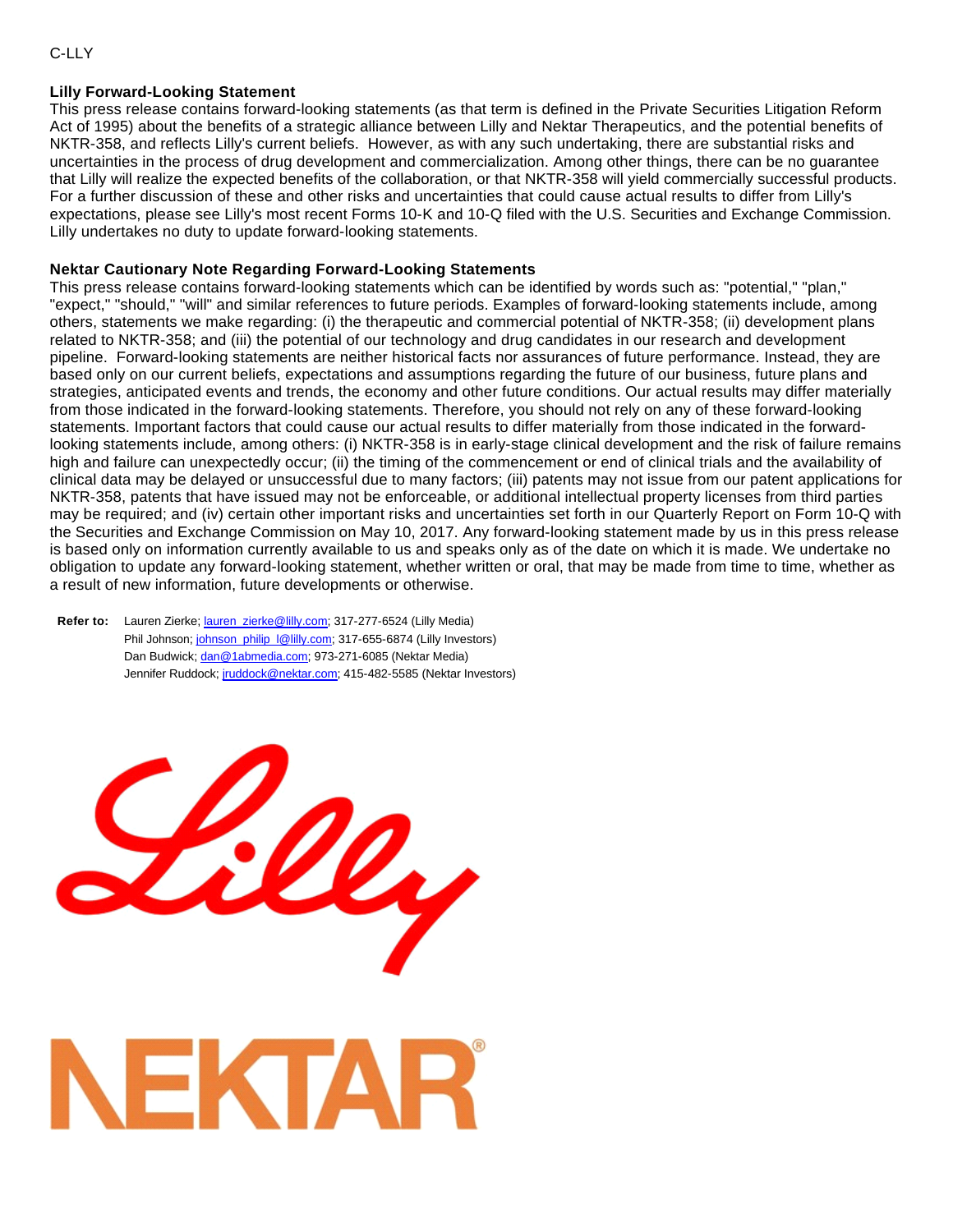### C-LLY

#### **Lilly Forward-Looking Statement**

This press release contains forward-looking statements (as that term is defined in the Private Securities Litigation Reform Act of 1995) about the benefits of a strategic alliance between Lilly and Nektar Therapeutics, and the potential benefits of NKTR-358, and reflects Lilly's current beliefs. However, as with any such undertaking, there are substantial risks and uncertainties in the process of drug development and commercialization. Among other things, there can be no guarantee that Lilly will realize the expected benefits of the collaboration, or that NKTR-358 will yield commercially successful products. For a further discussion of these and other risks and uncertainties that could cause actual results to differ from Lilly's expectations, please see Lilly's most recent Forms 10-K and 10-Q filed with the U.S. Securities and Exchange Commission. Lilly undertakes no duty to update forward-looking statements.

#### **Nektar Cautionary Note Regarding Forward-Looking Statements**

This press release contains forward-looking statements which can be identified by words such as: "potential," "plan," "expect," "should," "will" and similar references to future periods. Examples of forward-looking statements include, among others, statements we make regarding: (i) the therapeutic and commercial potential of NKTR-358; (ii) development plans related to NKTR-358; and (iii) the potential of our technology and drug candidates in our research and development pipeline. Forward-looking statements are neither historical facts nor assurances of future performance. Instead, they are based only on our current beliefs, expectations and assumptions regarding the future of our business, future plans and strategies, anticipated events and trends, the economy and other future conditions. Our actual results may differ materially from those indicated in the forward-looking statements. Therefore, you should not rely on any of these forward-looking statements. Important factors that could cause our actual results to differ materially from those indicated in the forwardlooking statements include, among others: (i) NKTR-358 is in early-stage clinical development and the risk of failure remains high and failure can unexpectedly occur; (ii) the timing of the commencement or end of clinical trials and the availability of clinical data may be delayed or unsuccessful due to many factors; (iii) patents may not issue from our patent applications for NKTR-358, patents that have issued may not be enforceable, or additional intellectual property licenses from third parties may be required; and (iv) certain other important risks and uncertainties set forth in our Quarterly Report on Form 10-Q with the Securities and Exchange Commission on May 10, 2017. Any forward-looking statement made by us in this press release is based only on information currently available to us and speaks only as of the date on which it is made. We undertake no obligation to update any forward-looking statement, whether written or oral, that may be made from time to time, whether as a result of new information, future developments or otherwise.

**Refer to:** Lauren Zierke; lauren zierke@lilly.com; 317-277-6524 (Lilly Media) Phil Johnson; johnson\_philip\_I@lilly.com; 317-655-6874 (Lilly Investors) Dan Budwick; [dan@1abmedia.com;](mailto:dan@1abmedia.com) 973-271-6085 (Nektar Media) Jennifer Ruddock; [jruddock@nektar.com;](mailto:jruddock@nektar.com) 415-482-5585 (Nektar Investors)